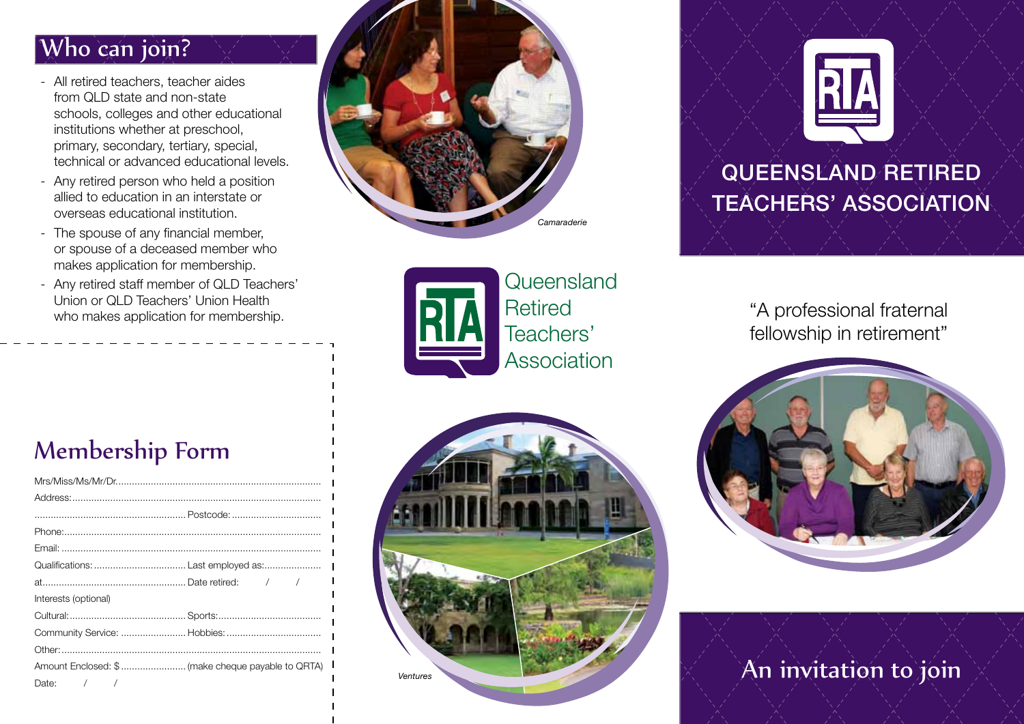### Who can join?

- All retired teachers, teacher aides from QLD state and non-state schools, colleges and other educational institutions whether at preschool, primary, secondary, tertiary, special, technical or advanced educational levels.
- Any retired person who held a position allied to education in an interstate or overseas educational institution.
- The spouse of any financial member, or spouse of a deceased member who makes application for membership.
- Any retired staff member of QLD Teachers' Union or QLD Teachers' Union Health who makes application for membership.





**Queensland Retired** Teachers' Association



# QUEENSLAND RETIRED **TEACHERS' ASSOCIATION**

"A professional fraternal fellowship in retirement"



### An invitation to join

#### Membership Form

| Interests (optional)                              |  |
|---------------------------------------------------|--|
|                                                   |  |
| Community Service:  Hobbies:                      |  |
|                                                   |  |
| Amount Enclosed: \$ (make cheque payable to QRTA) |  |
| Date: $/$ /                                       |  |
|                                                   |  |